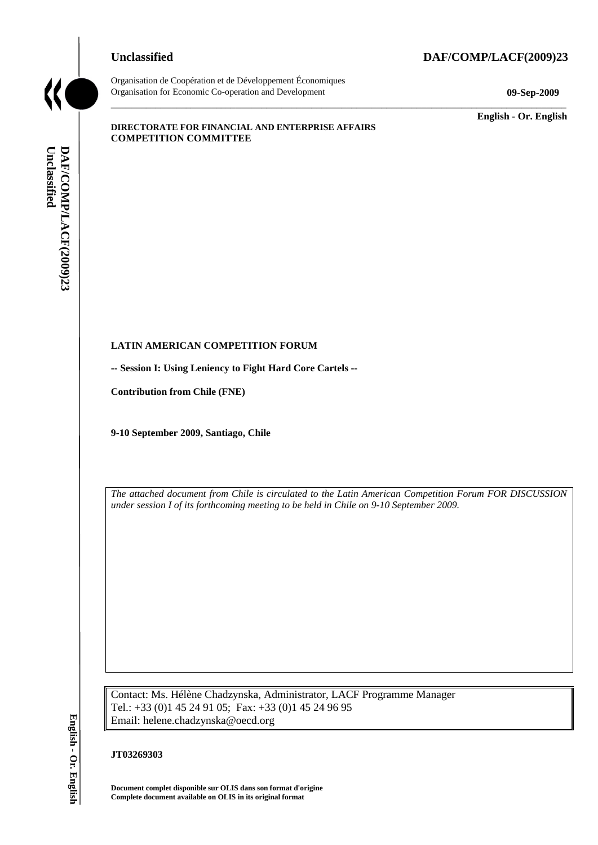# **Unclassified DAF/COMP/LACF(2009)23**



Organisation de Coopération et de Développement Économiques Organisation for Economic Co-operation and Development **09-Sep-2009**

\_\_\_\_\_\_\_\_\_\_\_\_\_ **English - Or. English**

#### **DIRECTORATE FOR FINANCIAL AND ENTERPRISE AFFAIRS COMPETITION COMMITTEE**

# **LATIN AMERICAN COMPETITION FORUM**

**-- Session I: Using Leniency to Fight Hard Core Cartels --**

**Contribution from Chile (FNE)**

**9-10 September 2009, Santiago, Chile**

*The attached document from Chile is circulated to the Latin American Competition Forum FOR DISCUSSION under session I of its forthcoming meeting to be held in Chile on 9-10 September 2009.*

 $\_$  ,  $\_$  ,  $\_$  ,  $\_$  ,  $\_$  ,  $\_$  ,  $\_$  ,  $\_$  ,  $\_$  ,  $\_$  ,  $\_$  ,  $\_$  ,  $\_$  ,  $\_$  ,  $\_$  ,  $\_$  ,  $\_$  ,  $\_$  ,  $\_$  ,  $\_$  ,  $\_$  ,  $\_$  ,  $\_$  ,  $\_$  ,  $\_$  ,  $\_$  ,  $\_$  ,  $\_$  ,  $\_$  ,  $\_$  ,  $\_$  ,  $\_$  ,  $\_$  ,  $\_$  ,  $\_$  ,  $\_$  ,  $\_$  ,

Contact: Ms. Hélène Chadzynska, Administrator, LACF Programme Manager Tel.: +33 (0)1 45 24 91 05; Fax: +33 (0)1 45 24 96 95 Email: helene.chadzynska@oecd.org **Complete document and Complete document and Complete document and DAF/COMP/COMP/LACF(2009)**<br> **Contribution from Chile (FNE)**<br> **P-10 September 2009**, Santingo, Chile<br>
The attached document from Chile is circulate<br>
under se

#### **JT03269303**

**Document complet disponible sur OLIS dans son format d'origine**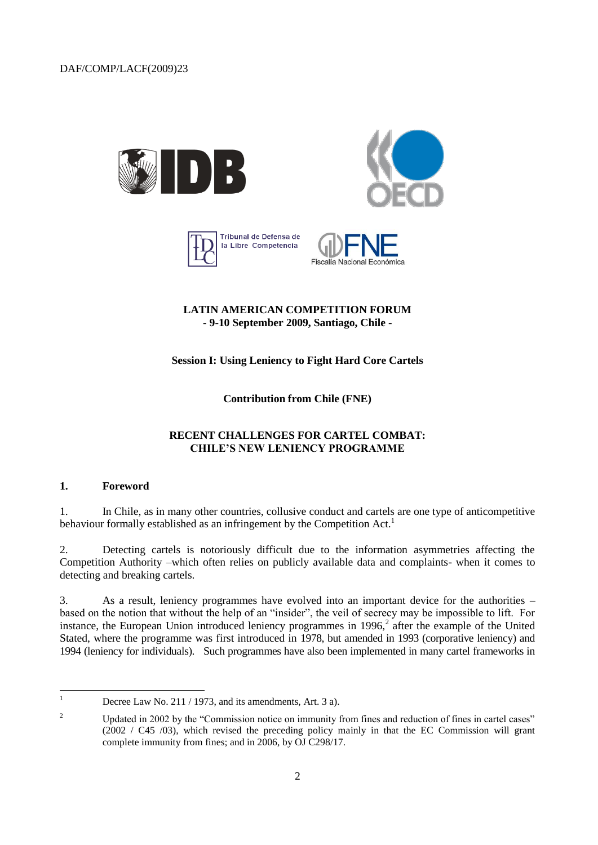





# **LATIN AMERICAN COMPETITION FORUM - 9-10 September 2009, Santiago, Chile -**

**Session I: Using Leniency to Fight Hard Core Cartels**

**Contribution from Chile (FNE)**

# **RECENT CHALLENGES FOR CARTEL COMBAT: CHILE'S NEW LENIENCY PROGRAMME**

#### **1. Foreword**

1. In Chile, as in many other countries, collusive conduct and cartels are one type of anticompetitive behaviour formally established as an infringement by the Competition Act.<sup>1</sup>

2. Detecting cartels is notoriously difficult due to the information asymmetries affecting the Competition Authority –which often relies on publicly available data and complaints- when it comes to detecting and breaking cartels.

3. As a result, leniency programmes have evolved into an important device for the authorities – based on the notion that without the help of an "insider", the veil of secrecy may be impossible to lift. For instance, the European Union introduced leniency programmes in 1996, $2$  after the example of the United Stated, where the programme was first introduced in 1978, but amended in 1993 (corporative leniency) and 1994 (leniency for individuals). Such programmes have also been implemented in many cartel frameworks in

 $\overline{1}$ Decree Law No. 211 / 1973, and its amendments, Art. 3 a).

<sup>&</sup>lt;sup>2</sup> Updated in 2002 by the "Commission notice on immunity from fines and reduction of fines in cartel cases" (2002 / C45 /03), which revised the preceding policy mainly in that the EC Commission will grant complete immunity from fines; and in 2006, by OJ C298/17.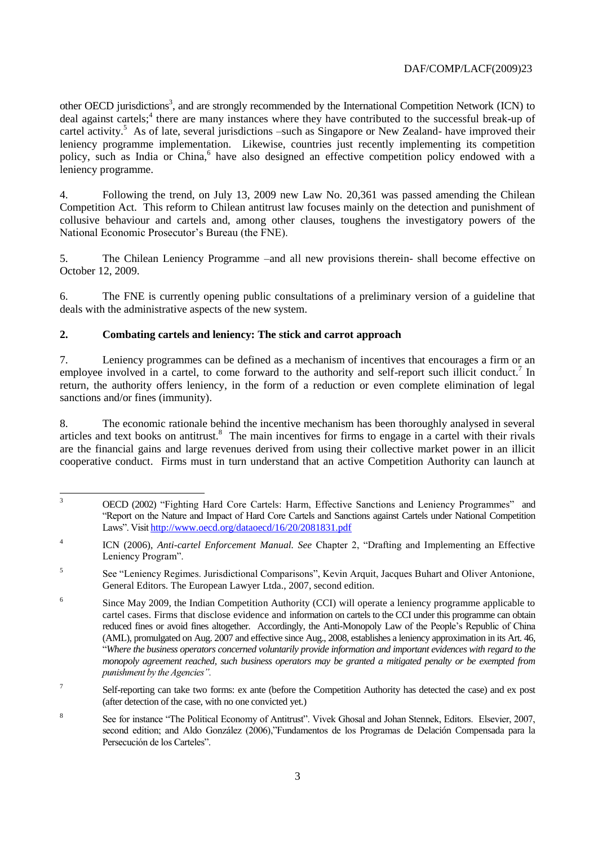other OECD jurisdictions<sup>3</sup>, and are strongly recommended by the International Competition Network (ICN) to deal against cartels;<sup>4</sup> there are many instances where they have contributed to the successful break-up of cartel activity.<sup>5</sup> As of late, several jurisdictions –such as Singapore or New Zealand- have improved their leniency programme implementation. Likewise, countries just recently implementing its competition policy, such as India or China,<sup>6</sup> have also designed an effective competition policy endowed with a leniency programme.

4. Following the trend, on July 13, 2009 new Law No. 20,361 was passed amending the Chilean Competition Act. This reform to Chilean antitrust law focuses mainly on the detection and punishment of collusive behaviour and cartels and, among other clauses, toughens the investigatory powers of the National Economic Prosecutor's Bureau (the FNE).

5. The Chilean Leniency Programme –and all new provisions therein- shall become effective on October 12, 2009.

6. The FNE is currently opening public consultations of a preliminary version of a guideline that deals with the administrative aspects of the new system.

# **2. Combating cartels and leniency: The stick and carrot approach**

7. Leniency programmes can be defined as a mechanism of incentives that encourages a firm or an employee involved in a cartel, to come forward to the authority and self-report such illicit conduct.<sup>7</sup> In return, the authority offers leniency, in the form of a reduction or even complete elimination of legal sanctions and/or fines (immunity).

8. The economic rationale behind the incentive mechanism has been thoroughly analysed in several articles and text books on antitrust.<sup>8</sup> The main incentives for firms to engage in a cartel with their rivals are the financial gains and large revenues derived from using their collective market power in an illicit cooperative conduct. Firms must in turn understand that an active Competition Authority can launch at

 $\overline{\mathbf{3}}$ <sup>3</sup> OECD (2002) "Fighting Hard Core Cartels: Harm, Effective Sanctions and Leniency Programmes" and "Report on the Nature and Impact of Hard Core Cartels and Sanctions against Cartels under National Competition Laws". Visi[t http://www.oecd.org/dataoecd/16/20/2081831.pdf](http://www.oecd.org/dataoecd/16/20/2081831.pdf)

<sup>4</sup> ICN (2006), *Anti-cartel Enforcement Manual. See* Chapter 2, "Drafting and Implementing an Effective Leniency Program".

<sup>5</sup> See "Leniency Regimes. Jurisdictional Comparisons", Kevin Arquit, Jacques Buhart and Oliver Antonione, General Editors. The European Lawyer Ltda., 2007, second edition.

<sup>6</sup> Since May 2009, the Indian Competition Authority (CCI) will operate a leniency programme applicable to cartel cases. Firms that disclose evidence and information on cartels to the CCI under this programme can obtain reduced fines or avoid fines altogether. Accordingly, the Anti-Monopoly Law of the People's Republic of China (AML), promulgated on Aug. 2007 and effective since Aug., 2008, establishes a leniency approximation in its Art. 46, "*Where the business operators concerned voluntarily provide information and important evidences with regard to the monopoly agreement reached, such business operators may be granted a mitigated penalty or be exempted from punishment by the Agencies".*

<sup>7</sup> Self-reporting can take two forms: ex ante (before the Competition Authority has detected the case) and ex post (after detection of the case, with no one convicted yet.)

<sup>8</sup> See for instance "The Political Economy of Antitrust". Vivek Ghosal and Johan Stennek, Editors. Elsevier, 2007, second edition; and Aldo González (2006),"Fundamentos de los Programas de Delación Compensada para la Persecución de los Carteles".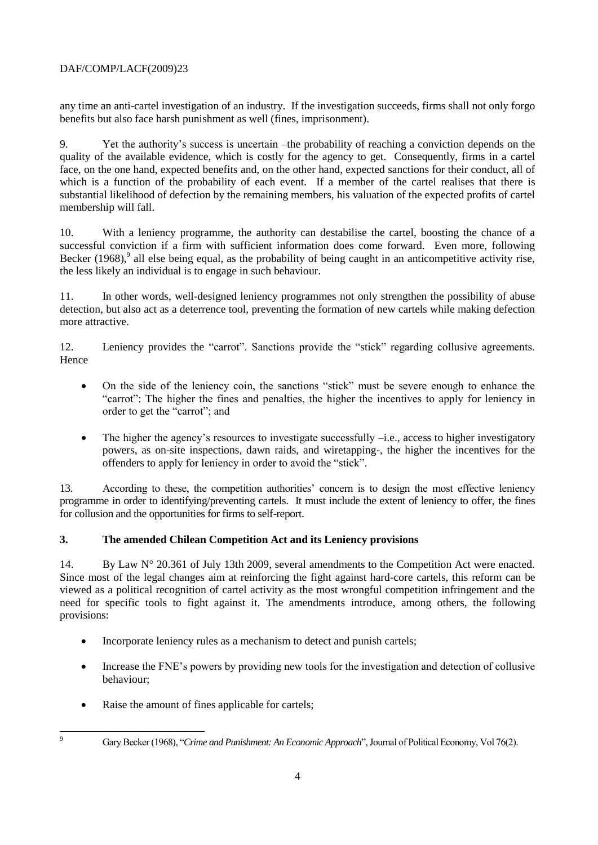any time an anti-cartel investigation of an industry. If the investigation succeeds, firms shall not only forgo benefits but also face harsh punishment as well (fines, imprisonment).

9. Yet the authority's success is uncertain –the probability of reaching a conviction depends on the quality of the available evidence, which is costly for the agency to get. Consequently, firms in a cartel face, on the one hand, expected benefits and, on the other hand, expected sanctions for their conduct, all of which is a function of the probability of each event. If a member of the cartel realises that there is substantial likelihood of defection by the remaining members, his valuation of the expected profits of cartel membership will fall.

10. With a leniency programme, the authority can destabilise the cartel, boosting the chance of a successful conviction if a firm with sufficient information does come forward. Even more, following Becker  $(1968)$ , all else being equal, as the probability of being caught in an anticompetitive activity rise, the less likely an individual is to engage in such behaviour.

11. In other words, well-designed leniency programmes not only strengthen the possibility of abuse detection, but also act as a deterrence tool, preventing the formation of new cartels while making defection more attractive.

12. Leniency provides the "carrot". Sanctions provide the "stick" regarding collusive agreements. Hence

- On the side of the leniency coin, the sanctions "stick" must be severe enough to enhance the "carrot": The higher the fines and penalties, the higher the incentives to apply for leniency in order to get the "carrot"; and
- $\bullet$  The higher the agency's resources to investigate successfully –i.e., access to higher investigatory powers, as on-site inspections, dawn raids, and wiretapping-, the higher the incentives for the offenders to apply for leniency in order to avoid the "stick".

13. According to these, the competition authorities' concern is to design the most effective leniency programme in order to identifying/preventing cartels. It must include the extent of leniency to offer, the fines for collusion and the opportunities for firms to self-report.

# **3. The amended Chilean Competition Act and its Leniency provisions**

14. By Law N° 20.361 of July 13th 2009, several amendments to the Competition Act were enacted. Since most of the legal changes aim at reinforcing the fight against hard-core cartels, this reform can be viewed as a political recognition of cartel activity as the most wrongful competition infringement and the need for specific tools to fight against it. The amendments introduce, among others, the following provisions:

- Incorporate leniency rules as a mechanism to detect and punish cartels;
- Increase the FNE's powers by providing new tools for the investigation and detection of collusive behaviour;
- Raise the amount of fines applicable for cartels;

 $\overline{Q}$ 

<sup>9</sup> Gary Becker (1968), "*Crime and Punishment: An Economic Approach*", Journal of Political Economy, Vol 76(2).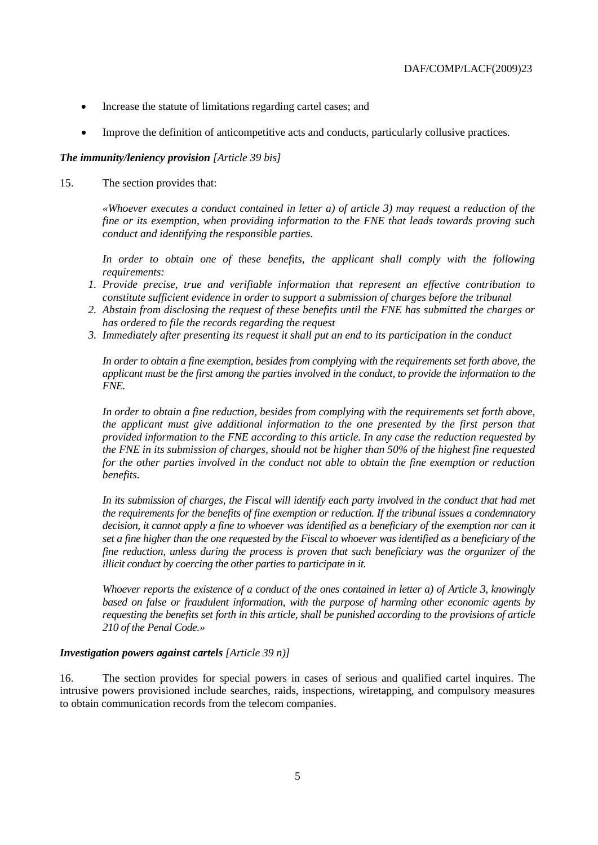- Increase the statute of limitations regarding cartel cases; and
- Improve the definition of anticompetitive acts and conducts, particularly collusive practices.

#### *The immunity/leniency provision [Article 39 bis]*

15. The section provides that:

*«Whoever executes a conduct contained in letter a) of article 3) may request a reduction of the fine or its exemption, when providing information to the FNE that leads towards proving such conduct and identifying the responsible parties.*

In order to obtain one of these benefits, the applicant shall comply with the following *requirements:*

- *1. Provide precise, true and verifiable information that represent an effective contribution to constitute sufficient evidence in order to support a submission of charges before the tribunal*
- *2. Abstain from disclosing the request of these benefits until the FNE has submitted the charges or has ordered to file the records regarding the request*
- *3. Immediately after presenting its request it shall put an end to its participation in the conduct*

*In order to obtain a fine exemption, besides from complying with the requirements set forth above, the applicant must be the first among the parties involved in the conduct, to provide the information to the FNE.*

*In order to obtain a fine reduction, besides from complying with the requirements set forth above, the applicant must give additional information to the one presented by the first person that provided information to the FNE according to this article. In any case the reduction requested by the FNE in its submission of charges, should not be higher than 50% of the highest fine requested for the other parties involved in the conduct not able to obtain the fine exemption or reduction benefits.*

In its submission of charges, the Fiscal will identify each party involved in the conduct that had met *the requirements for the benefits of fine exemption or reduction. If the tribunal issues a condemnatory decision, it cannot apply a fine to whoever was identified as a beneficiary of the exemption nor can it set a fine higher than the one requested by the Fiscal to whoever was identified as a beneficiary of the fine reduction, unless during the process is proven that such beneficiary was the organizer of the illicit conduct by coercing the other parties to participate in it.*

*Whoever reports the existence of a conduct of the ones contained in letter a) of Article 3, knowingly based on false or fraudulent information, with the purpose of harming other economic agents by requesting the benefits set forth in this article, shall be punished according to the provisions of article 210 of the Penal Code.»*

#### *Investigation powers against cartels [Article 39 n)]*

16. The section provides for special powers in cases of serious and qualified cartel inquires. The intrusive powers provisioned include searches, raids, inspections, wiretapping, and compulsory measures to obtain communication records from the telecom companies.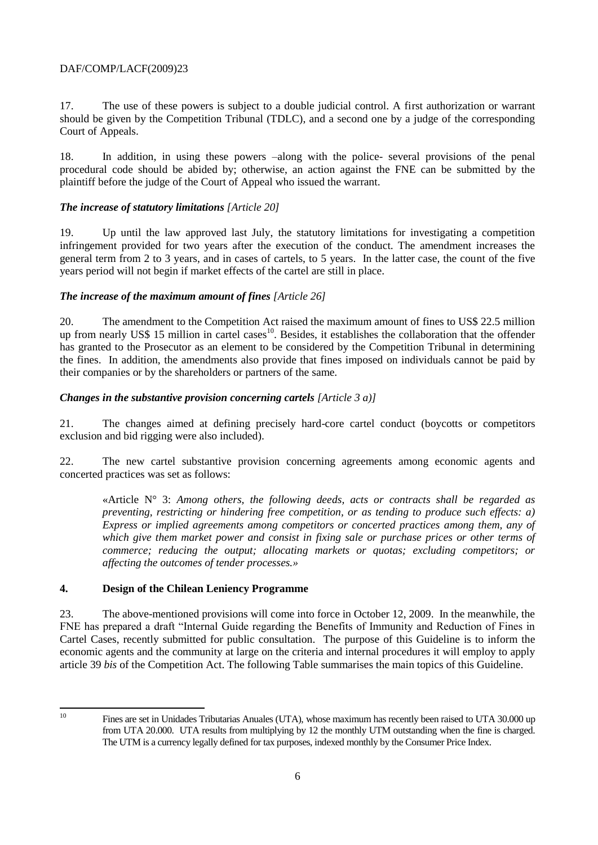17. The use of these powers is subject to a double judicial control. A first authorization or warrant should be given by the Competition Tribunal (TDLC), and a second one by a judge of the corresponding Court of Appeals.

18. In addition, in using these powers –along with the police- several provisions of the penal procedural code should be abided by; otherwise, an action against the FNE can be submitted by the plaintiff before the judge of the Court of Appeal who issued the warrant.

### *The increase of statutory limitations [Article 20]*

19. Up until the law approved last July, the statutory limitations for investigating a competition infringement provided for two years after the execution of the conduct. The amendment increases the general term from 2 to 3 years, and in cases of cartels, to 5 years. In the latter case, the count of the five years period will not begin if market effects of the cartel are still in place.

# *The increase of the maximum amount of fines [Article 26]*

20. The amendment to the Competition Act raised the maximum amount of fines to US\$ 22.5 million up from nearly US\$ 15 million in cartel cases<sup>10</sup>. Besides, it establishes the collaboration that the offender has granted to the Prosecutor as an element to be considered by the Competition Tribunal in determining the fines. In addition, the amendments also provide that fines imposed on individuals cannot be paid by their companies or by the shareholders or partners of the same.

#### *Changes in the substantive provision concerning cartels [Article 3 a)]*

21. The changes aimed at defining precisely hard-core cartel conduct (boycotts or competitors exclusion and bid rigging were also included).

22. The new cartel substantive provision concerning agreements among economic agents and concerted practices was set as follows:

«Article N° 3: *Among others, the following deeds, acts or contracts shall be regarded as preventing, restricting or hindering free competition, or as tending to produce such effects: a) Express or implied agreements among competitors or concerted practices among them, any of which give them market power and consist in fixing sale or purchase prices or other terms of commerce; reducing the output; allocating markets or quotas; excluding competitors; or affecting the outcomes of tender processes.»* 

#### **4. Design of the Chilean Leniency Programme**

23. The above-mentioned provisions will come into force in October 12, 2009. In the meanwhile, the FNE has prepared a draft "Internal Guide regarding the Benefits of Immunity and Reduction of Fines in Cartel Cases, recently submitted for public consultation. The purpose of this Guideline is to inform the economic agents and the community at large on the criteria and internal procedures it will employ to apply article 39 *bis* of the Competition Act. The following Table summarises the main topics of this Guideline.

 $10^{\circ}$ 

<sup>10</sup> Fines are set in Unidades Tributarias Anuales (UTA), whose maximum has recently been raised to UTA 30.000 up from UTA 20.000. UTA results from multiplying by 12 the monthly UTM outstanding when the fine is charged. The UTM is a currency legally defined for tax purposes, indexed monthly by the Consumer Price Index.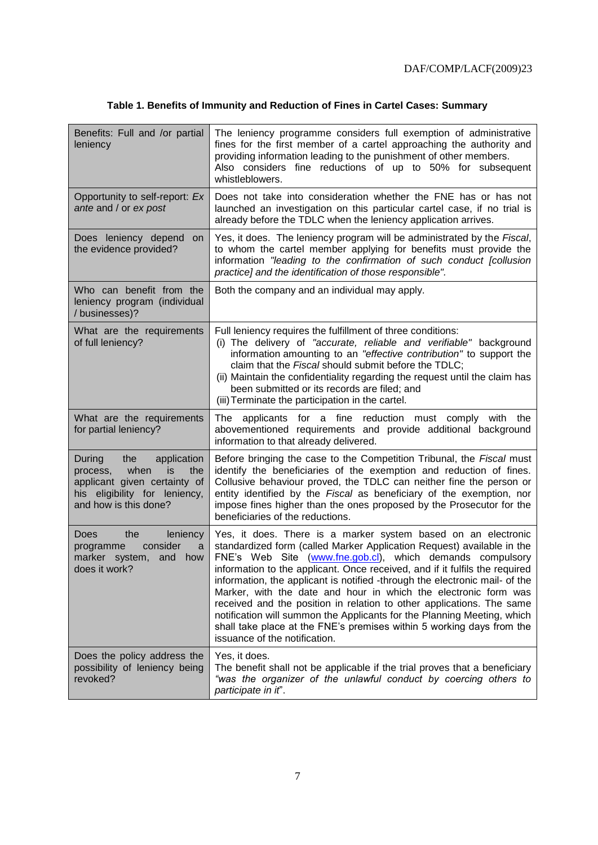# **Table 1. Benefits of Immunity and Reduction of Fines in Cartel Cases: Summary**

| Benefits: Full and /or partial<br>leniency                                                                                                               | The leniency programme considers full exemption of administrative<br>fines for the first member of a cartel approaching the authority and<br>providing information leading to the punishment of other members.<br>Also considers fine reductions of up to 50% for subsequent<br>whistleblowers.                                                                                                                                                                                                                                                                                                                                                                                                     |
|----------------------------------------------------------------------------------------------------------------------------------------------------------|-----------------------------------------------------------------------------------------------------------------------------------------------------------------------------------------------------------------------------------------------------------------------------------------------------------------------------------------------------------------------------------------------------------------------------------------------------------------------------------------------------------------------------------------------------------------------------------------------------------------------------------------------------------------------------------------------------|
| Opportunity to self-report: Ex<br>ante and / or ex post                                                                                                  | Does not take into consideration whether the FNE has or has not<br>launched an investigation on this particular cartel case, if no trial is<br>already before the TDLC when the leniency application arrives.                                                                                                                                                                                                                                                                                                                                                                                                                                                                                       |
| Does leniency depend<br>on<br>the evidence provided?                                                                                                     | Yes, it does. The leniency program will be administrated by the Fiscal,<br>to whom the cartel member applying for benefits must provide the<br>information "leading to the confirmation of such conduct [collusion<br>practice] and the identification of those responsible".                                                                                                                                                                                                                                                                                                                                                                                                                       |
| Who can benefit from the<br>leniency program (individual<br>/businesses)?                                                                                | Both the company and an individual may apply.                                                                                                                                                                                                                                                                                                                                                                                                                                                                                                                                                                                                                                                       |
| What are the requirements<br>of full leniency?                                                                                                           | Full leniency requires the fulfillment of three conditions:<br>(i) The delivery of "accurate, reliable and verifiable" background<br>information amounting to an "effective contribution" to support the<br>claim that the Fiscal should submit before the TDLC;<br>(ii) Maintain the confidentiality regarding the request until the claim has<br>been submitted or its records are filed; and<br>(iii) Terminate the participation in the cartel.                                                                                                                                                                                                                                                 |
| What are the requirements<br>for partial leniency?                                                                                                       | applicants for a fine reduction must comply with the<br>The<br>abovementioned requirements and provide additional background<br>information to that already delivered.                                                                                                                                                                                                                                                                                                                                                                                                                                                                                                                              |
| During<br>the<br>application<br>is.<br>process,<br>when<br>the<br>applicant given certainty of<br>his eligibility for leniency,<br>and how is this done? | Before bringing the case to the Competition Tribunal, the Fiscal must<br>identify the beneficiaries of the exemption and reduction of fines.<br>Collusive behaviour proved, the TDLC can neither fine the person or<br>entity identified by the Fiscal as beneficiary of the exemption, nor<br>impose fines higher than the ones proposed by the Prosecutor for the<br>beneficiaries of the reductions.                                                                                                                                                                                                                                                                                             |
| the<br><b>Does</b><br>leniency<br>consider<br>programme<br>a<br>marker system,<br>and<br>how<br>does it work?                                            | Yes, it does. There is a marker system based on an electronic<br>standardized form (called Marker Application Request) available in the<br>FNE's Web Site (www.fne.gob.cl), which demands compulsory<br>information to the applicant. Once received, and if it fulfils the required<br>information, the applicant is notified -through the electronic mail- of the<br>Marker, with the date and hour in which the electronic form was<br>received and the position in relation to other applications. The same<br>notification will summon the Applicants for the Planning Meeting, which<br>shall take place at the FNE's premises within 5 working days from the<br>issuance of the notification. |
| Does the policy address the<br>possibility of leniency being<br>revoked?                                                                                 | Yes, it does.<br>The benefit shall not be applicable if the trial proves that a beneficiary<br>"was the organizer of the unlawful conduct by coercing others to<br>participate in it".                                                                                                                                                                                                                                                                                                                                                                                                                                                                                                              |